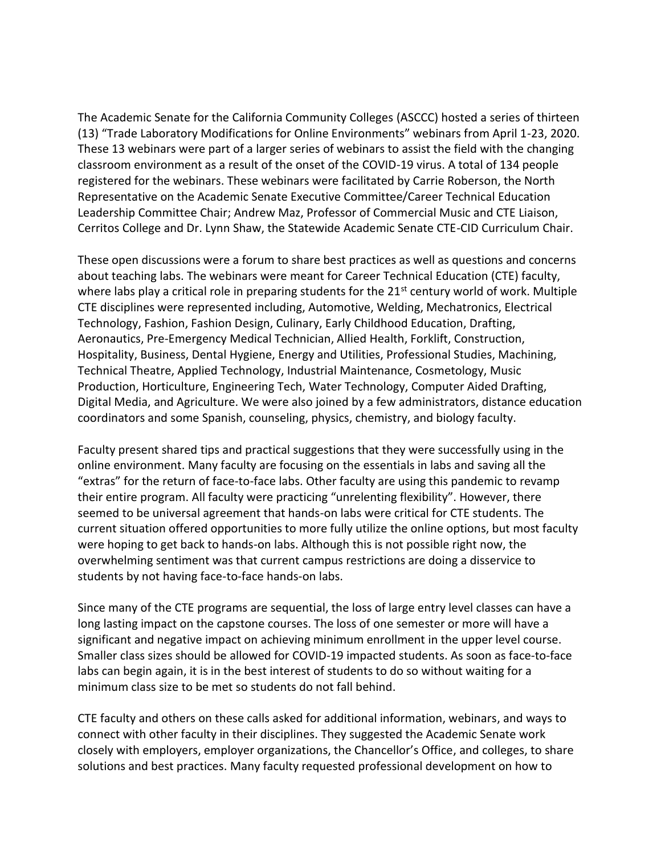The Academic Senate for the California Community Colleges (ASCCC) hosted a series of thirteen (13) "Trade Laboratory Modifications for Online Environments" webinars from April 1-23, 2020. These 13 webinars were part of a larger series of webinars to assist the field with the changing classroom environment as a result of the onset of the COVID-19 virus. A total of 134 people registered for the webinars. These webinars were facilitated by Carrie Roberson, the North Representative on the Academic Senate Executive Committee/Career Technical Education Leadership Committee Chair; Andrew Maz, Professor of Commercial Music and CTE Liaison, Cerritos College and Dr. Lynn Shaw, the Statewide Academic Senate CTE-CID Curriculum Chair.

These open discussions were a forum to share best practices as well as questions and concerns about teaching labs. The webinars were meant for Career Technical Education (CTE) faculty, where labs play a critical role in preparing students for the  $21<sup>st</sup>$  century world of work. Multiple CTE disciplines were represented including, Automotive, Welding, Mechatronics, Electrical Technology, Fashion, Fashion Design, Culinary, Early Childhood Education, Drafting, Aeronautics, Pre-Emergency Medical Technician, Allied Health, Forklift, Construction, Hospitality, Business, Dental Hygiene, Energy and Utilities, Professional Studies, Machining, Technical Theatre, Applied Technology, Industrial Maintenance, Cosmetology, Music Production, Horticulture, Engineering Tech, Water Technology, Computer Aided Drafting, Digital Media, and Agriculture. We were also joined by a few administrators, distance education coordinators and some Spanish, counseling, physics, chemistry, and biology faculty.

Faculty present shared tips and practical suggestions that they were successfully using in the online environment. Many faculty are focusing on the essentials in labs and saving all the "extras" for the return of face-to-face labs. Other faculty are using this pandemic to revamp their entire program. All faculty were practicing "unrelenting flexibility". However, there seemed to be universal agreement that hands-on labs were critical for CTE students. The current situation offered opportunities to more fully utilize the online options, but most faculty were hoping to get back to hands-on labs. Although this is not possible right now, the overwhelming sentiment was that current campus restrictions are doing a disservice to students by not having face-to-face hands-on labs.

Since many of the CTE programs are sequential, the loss of large entry level classes can have a long lasting impact on the capstone courses. The loss of one semester or more will have a significant and negative impact on achieving minimum enrollment in the upper level course. Smaller class sizes should be allowed for COVID-19 impacted students. As soon as face-to-face labs can begin again, it is in the best interest of students to do so without waiting for a minimum class size to be met so students do not fall behind.

CTE faculty and others on these calls asked for additional information, webinars, and ways to connect with other faculty in their disciplines. They suggested the Academic Senate work closely with employers, employer organizations, the Chancellor's Office, and colleges, to share solutions and best practices. Many faculty requested professional development on how to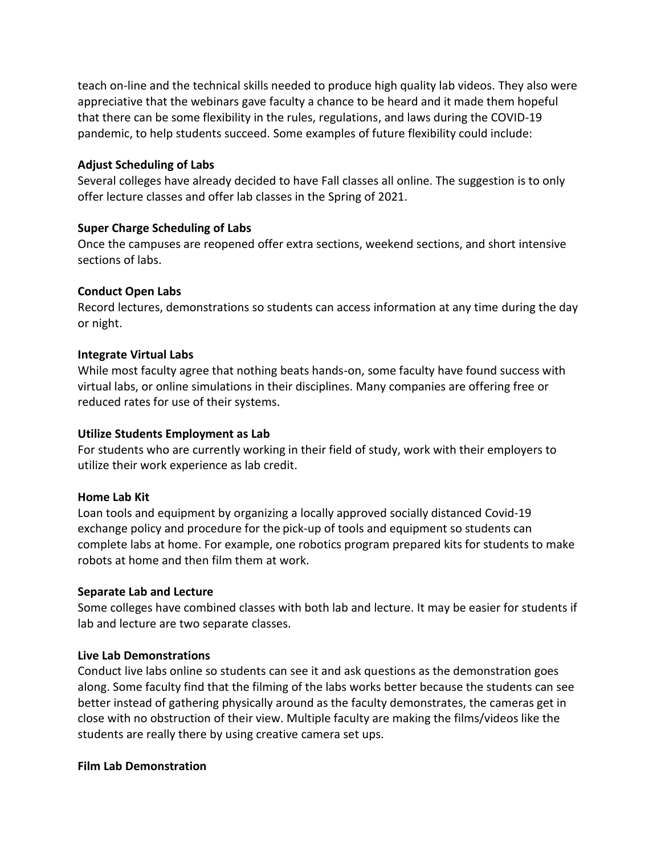teach on-line and the technical skills needed to produce high quality lab videos. They also were appreciative that the webinars gave faculty a chance to be heard and it made them hopeful that there can be some flexibility in the rules, regulations, and laws during the COVID-19 pandemic, to help students succeed. Some examples of future flexibility could include:

### **Adjust Scheduling of Labs**

Several colleges have already decided to have Fall classes all online. The suggestion is to only offer lecture classes and offer lab classes in the Spring of 2021.

# **Super Charge Scheduling of Labs**

Once the campuses are reopened offer extra sections, weekend sections, and short intensive sections of labs.

# **Conduct Open Labs**

Record lectures, demonstrations so students can access information at any time during the day or night.

### **Integrate Virtual Labs**

While most faculty agree that nothing beats hands-on, some faculty have found success with virtual labs, or online simulations in their disciplines. Many companies are offering free or reduced rates for use of their systems.

### **Utilize Students Employment as Lab**

For students who are currently working in their field of study, work with their employers to utilize their work experience as lab credit.

#### **Home Lab Kit**

Loan tools and equipment by organizing a locally approved socially distanced Covid-19 exchange policy and procedure for the pick-up of tools and equipment so students can complete labs at home. For example, one robotics program prepared kits for students to make robots at home and then film them at work.

#### **Separate Lab and Lecture**

Some colleges have combined classes with both lab and lecture. It may be easier for students if lab and lecture are two separate classes.

#### **Live Lab Demonstrations**

Conduct live labs online so students can see it and ask questions as the demonstration goes along. Some faculty find that the filming of the labs works better because the students can see better instead of gathering physically around as the faculty demonstrates, the cameras get in close with no obstruction of their view. Multiple faculty are making the films/videos like the students are really there by using creative camera set ups.

#### **Film Lab Demonstration**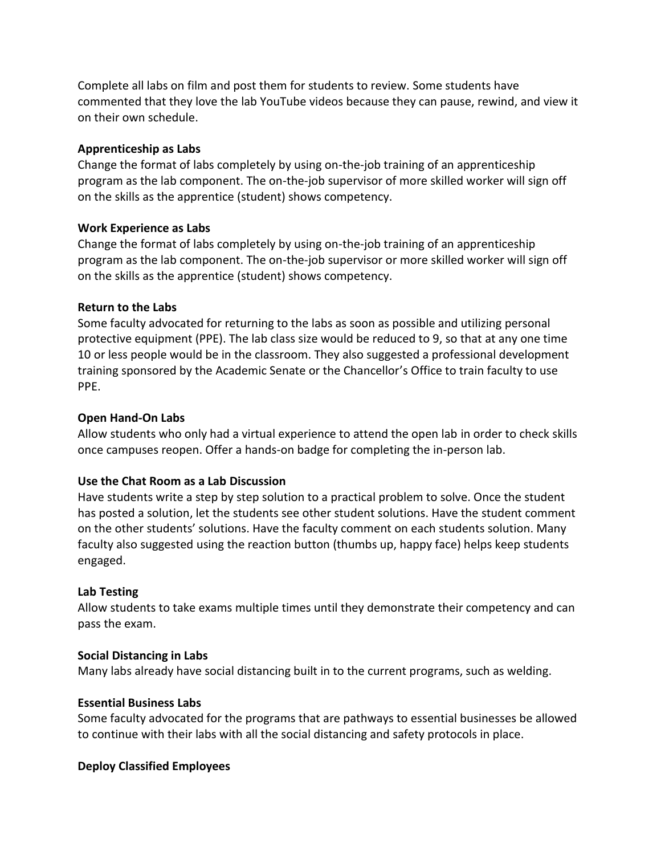Complete all labs on film and post them for students to review. Some students have commented that they love the lab YouTube videos because they can pause, rewind, and view it on their own schedule.

# **Apprenticeship as Labs**

Change the format of labs completely by using on-the-job training of an apprenticeship program as the lab component. The on-the-job supervisor of more skilled worker will sign off on the skills as the apprentice (student) shows competency.

# **Work Experience as Labs**

Change the format of labs completely by using on-the-job training of an apprenticeship program as the lab component. The on-the-job supervisor or more skilled worker will sign off on the skills as the apprentice (student) shows competency.

# **Return to the Labs**

Some faculty advocated for returning to the labs as soon as possible and utilizing personal protective equipment (PPE). The lab class size would be reduced to 9, so that at any one time 10 or less people would be in the classroom. They also suggested a professional development training sponsored by the Academic Senate or the Chancellor's Office to train faculty to use PPE.

# **Open Hand-On Labs**

Allow students who only had a virtual experience to attend the open lab in order to check skills once campuses reopen. Offer a hands-on badge for completing the in-person lab.

# **Use the Chat Room as a Lab Discussion**

Have students write a step by step solution to a practical problem to solve. Once the student has posted a solution, let the students see other student solutions. Have the student comment on the other students' solutions. Have the faculty comment on each students solution. Many faculty also suggested using the reaction button (thumbs up, happy face) helps keep students engaged.

# **Lab Testing**

Allow students to take exams multiple times until they demonstrate their competency and can pass the exam.

# **Social Distancing in Labs**

Many labs already have social distancing built in to the current programs, such as welding.

# **Essential Business Labs**

Some faculty advocated for the programs that are pathways to essential businesses be allowed to continue with their labs with all the social distancing and safety protocols in place.

# **Deploy Classified Employees**